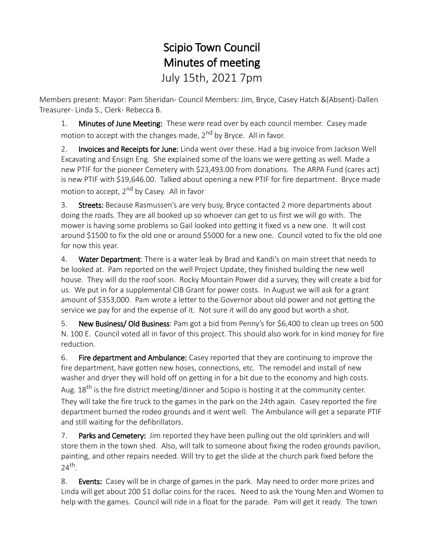## Scipio Town Council Minutes of meeting July 15th, 2021 7pm

Members present: Mayor: Pam Sheridan- Council Members: Jim, Bryce, Casey Hatch &(Absent)-Dallen Treasurer- Linda S., Clerk- Rebecca B.

1. Minutes of June Meeting: These were read over by each council member. Casey made motion to accept with the changes made, 2<sup>nd</sup> by Bryce. All in favor.

2. Invoices and Receipts for June: Linda went over these. Had a big invoice from Jackson Well Excavating and Ensign Eng. She explained some of the loans we were getting as well. Made a new PTIF for the pioneer Cemetery with \$23,493.00 from donations. The ARPA Fund (cares act) is new PTIF with \$19,646.00. Talked about opening a new PTIF for fire department. Bryce made motion to accept,  $2^{nd}$  by Casey. All in favor

3. Streets: Because Rasmussen's are very busy, Bryce contacted 2 more departments about doing the roads. They are all booked up so whoever can get to us first we will go with. The mower is having some problems so Gail looked into getting it fixed vs a new one. It will cost around \$1500 to fix the old one or around \$5000 for a new one. Council voted to fix the old one for now this year.

4. Water Department: There is a water leak by Brad and Kandi's on main street that needs to be looked at. Pam reported on the well Project Update, they finished building the new well house. They will do the roof soon. Rocky Mountain Power did a survey, they will create a bid for us. We put in for a supplemental CIB Grant for power costs. In August we will ask for a grant amount of \$353,000. Pam wrote a letter to the Governor about old power and not getting the service we pay for and the expense of it. Not sure it will do any good but worth a shot.

5. New Business/ Old Business: Pam got a bid from Penny's for \$6,400 to clean up trees on 500 N. 100 E. Council voted all in favor of this project. This should also work for in kind money for fire reduction.

6. Fire department and Ambulance: Casey reported that they are continuing to improve the fire department, have gotten new hoses, connections, etc. The remodel and install of new washer and dryer they will hold off on getting in for a bit due to the economy and high costs. Aug.  $18^{th}$  is the fire district meeting/dinner and Scipio is hosting it at the community center. They will take the fire truck to the games in the park on the 24th again. Casey reported the fire department burned the rodeo grounds and it went well. The Ambulance will get a separate PTIF and still waiting for the defibrillators.

7. Parks and Cemetery: Jim reported they have been pulling out the old sprinklers and will store them in the town shed. Also, will talk to someone about fixing the rodeo grounds pavilion, painting, and other repairs needed. Will try to get the slide at the church park fixed before the 24th .

8. Events: Casey will be in charge of games in the park. May need to order more prizes and Linda will get about 200 \$1 dollar coins for the races. Need to ask the Young Men and Women to help with the games. Council will ride in a float for the parade. Pam will get it ready. The town